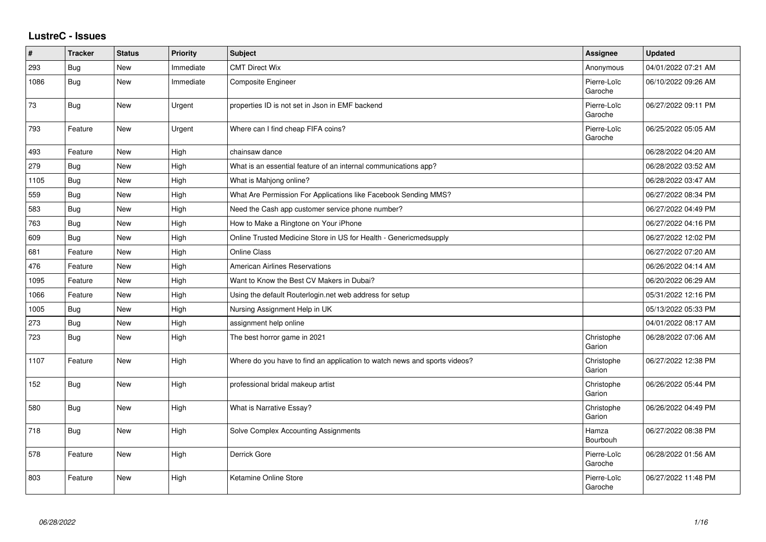## **LustreC - Issues**

| $\sharp$ | <b>Tracker</b> | <b>Status</b> | <b>Priority</b> | <b>Subject</b>                                                            | <b>Assignee</b>        | <b>Updated</b>      |
|----------|----------------|---------------|-----------------|---------------------------------------------------------------------------|------------------------|---------------------|
| 293      | Bug            | <b>New</b>    | Immediate       | <b>CMT Direct Wix</b>                                                     | Anonymous              | 04/01/2022 07:21 AM |
| 1086     | <b>Bug</b>     | <b>New</b>    | Immediate       | <b>Composite Engineer</b>                                                 | Pierre-Loïc<br>Garoche | 06/10/2022 09:26 AM |
| 73       | <b>Bug</b>     | <b>New</b>    | Urgent          | properties ID is not set in Json in EMF backend                           | Pierre-Loïc<br>Garoche | 06/27/2022 09:11 PM |
| 793      | Feature        | <b>New</b>    | Urgent          | Where can I find cheap FIFA coins?                                        | Pierre-Loïc<br>Garoche | 06/25/2022 05:05 AM |
| 493      | Feature        | <b>New</b>    | High            | chainsaw dance                                                            |                        | 06/28/2022 04:20 AM |
| 279      | Bug            | <b>New</b>    | High            | What is an essential feature of an internal communications app?           |                        | 06/28/2022 03:52 AM |
| 1105     | <b>Bug</b>     | New           | High            | What is Mahjong online?                                                   |                        | 06/28/2022 03:47 AM |
| 559      | <b>Bug</b>     | <b>New</b>    | High            | What Are Permission For Applications like Facebook Sending MMS?           |                        | 06/27/2022 08:34 PM |
| 583      | <b>Bug</b>     | New           | High            | Need the Cash app customer service phone number?                          |                        | 06/27/2022 04:49 PM |
| 763      | <b>Bug</b>     | <b>New</b>    | High            | How to Make a Ringtone on Your iPhone                                     |                        | 06/27/2022 04:16 PM |
| 609      | Bug            | New           | High            | Online Trusted Medicine Store in US for Health - Genericmedsupply         |                        | 06/27/2022 12:02 PM |
| 681      | Feature        | New           | High            | Online Class                                                              |                        | 06/27/2022 07:20 AM |
| 476      | Feature        | <b>New</b>    | High            | <b>American Airlines Reservations</b>                                     |                        | 06/26/2022 04:14 AM |
| 1095     | Feature        | <b>New</b>    | High            | Want to Know the Best CV Makers in Dubai?                                 |                        | 06/20/2022 06:29 AM |
| 1066     | Feature        | <b>New</b>    | High            | Using the default Routerlogin.net web address for setup                   |                        | 05/31/2022 12:16 PM |
| 1005     | <b>Bug</b>     | New           | High            | Nursing Assignment Help in UK                                             |                        | 05/13/2022 05:33 PM |
| 273      | <b>Bug</b>     | <b>New</b>    | High            | assignment help online                                                    |                        | 04/01/2022 08:17 AM |
| 723      | Bug            | New           | High            | The best horror game in 2021                                              | Christophe<br>Garion   | 06/28/2022 07:06 AM |
| 1107     | Feature        | New           | High            | Where do you have to find an application to watch news and sports videos? | Christophe<br>Garion   | 06/27/2022 12:38 PM |
| 152      | <b>Bug</b>     | <b>New</b>    | High            | professional bridal makeup artist                                         | Christophe<br>Garion   | 06/26/2022 05:44 PM |
| 580      | <b>Bug</b>     | New           | High            | What is Narrative Essay?                                                  | Christophe<br>Garion   | 06/26/2022 04:49 PM |
| 718      | <b>Bug</b>     | New           | High            | Solve Complex Accounting Assignments                                      | Hamza<br>Bourbouh      | 06/27/2022 08:38 PM |
| 578      | Feature        | <b>New</b>    | High            | Derrick Gore                                                              | Pierre-Loïc<br>Garoche | 06/28/2022 01:56 AM |
| 803      | Feature        | New           | High            | Ketamine Online Store                                                     | Pierre-Loïc<br>Garoche | 06/27/2022 11:48 PM |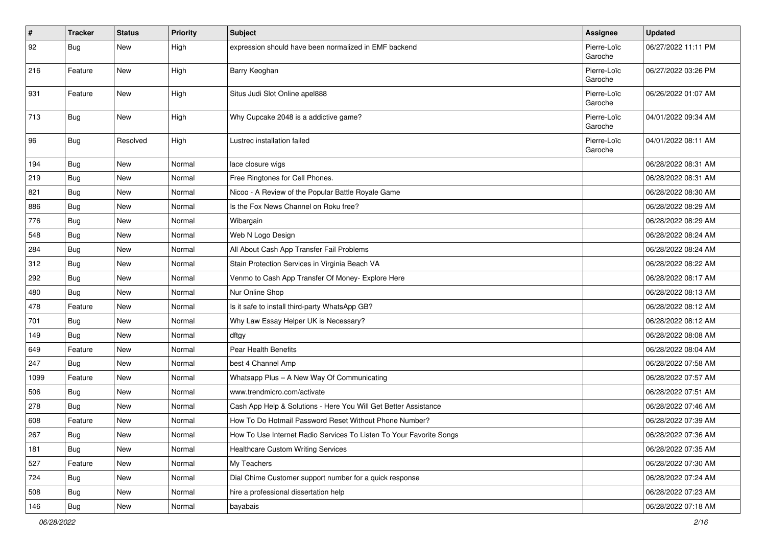| #    | <b>Tracker</b> | <b>Status</b> | <b>Priority</b> | <b>Subject</b>                                                      | <b>Assignee</b>        | <b>Updated</b>      |
|------|----------------|---------------|-----------------|---------------------------------------------------------------------|------------------------|---------------------|
| 92   | Bug            | New           | High            | expression should have been normalized in EMF backend               | Pierre-Loïc<br>Garoche | 06/27/2022 11:11 PM |
| 216  | Feature        | New           | High            | Barry Keoghan                                                       | Pierre-Loïc<br>Garoche | 06/27/2022 03:26 PM |
| 931  | Feature        | <b>New</b>    | High            | Situs Judi Slot Online apel888                                      | Pierre-Loïc<br>Garoche | 06/26/2022 01:07 AM |
| 713  | <b>Bug</b>     | <b>New</b>    | High            | Why Cupcake 2048 is a addictive game?                               | Pierre-Loïc<br>Garoche | 04/01/2022 09:34 AM |
| 96   | Bug            | Resolved      | High            | Lustrec installation failed                                         | Pierre-Loïc<br>Garoche | 04/01/2022 08:11 AM |
| 194  | <b>Bug</b>     | New           | Normal          | lace closure wigs                                                   |                        | 06/28/2022 08:31 AM |
| 219  | <b>Bug</b>     | New           | Normal          | Free Ringtones for Cell Phones.                                     |                        | 06/28/2022 08:31 AM |
| 821  | <b>Bug</b>     | <b>New</b>    | Normal          | Nicoo - A Review of the Popular Battle Royale Game                  |                        | 06/28/2022 08:30 AM |
| 886  | <b>Bug</b>     | New           | Normal          | Is the Fox News Channel on Roku free?                               |                        | 06/28/2022 08:29 AM |
| 776  | Bug            | New           | Normal          | Wibargain                                                           |                        | 06/28/2022 08:29 AM |
| 548  | <b>Bug</b>     | New           | Normal          | Web N Logo Design                                                   |                        | 06/28/2022 08:24 AM |
| 284  | <b>Bug</b>     | New           | Normal          | All About Cash App Transfer Fail Problems                           |                        | 06/28/2022 08:24 AM |
| 312  | Bug            | <b>New</b>    | Normal          | Stain Protection Services in Virginia Beach VA                      |                        | 06/28/2022 08:22 AM |
| 292  | <b>Bug</b>     | New           | Normal          | Venmo to Cash App Transfer Of Money- Explore Here                   |                        | 06/28/2022 08:17 AM |
| 480  | Bug            | New           | Normal          | Nur Online Shop                                                     |                        | 06/28/2022 08:13 AM |
| 478  | Feature        | New           | Normal          | Is it safe to install third-party WhatsApp GB?                      |                        | 06/28/2022 08:12 AM |
| 701  | <b>Bug</b>     | New           | Normal          | Why Law Essay Helper UK is Necessary?                               |                        | 06/28/2022 08:12 AM |
| 149  | <b>Bug</b>     | <b>New</b>    | Normal          | dftgy                                                               |                        | 06/28/2022 08:08 AM |
| 649  | Feature        | New           | Normal          | Pear Health Benefits                                                |                        | 06/28/2022 08:04 AM |
| 247  | <b>Bug</b>     | New           | Normal          | best 4 Channel Amp                                                  |                        | 06/28/2022 07:58 AM |
| 1099 | Feature        | <b>New</b>    | Normal          | Whatsapp Plus - A New Way Of Communicating                          |                        | 06/28/2022 07:57 AM |
| 506  | <b>Bug</b>     | New           | Normal          | www.trendmicro.com/activate                                         |                        | 06/28/2022 07:51 AM |
| 278  | Bug            | New           | Normal          | Cash App Help & Solutions - Here You Will Get Better Assistance     |                        | 06/28/2022 07:46 AM |
| 608  | Feature        | New           | Normal          | How To Do Hotmail Password Reset Without Phone Number?              |                        | 06/28/2022 07:39 AM |
| 267  | Bug            | New           | Normal          | How To Use Internet Radio Services To Listen To Your Favorite Songs |                        | 06/28/2022 07:36 AM |
| 181  | Bug            | <b>New</b>    | Normal          | <b>Healthcare Custom Writing Services</b>                           |                        | 06/28/2022 07:35 AM |
| 527  | Feature        | New           | Normal          | My Teachers                                                         |                        | 06/28/2022 07:30 AM |
| 724  | Bug            | New           | Normal          | Dial Chime Customer support number for a quick response             |                        | 06/28/2022 07:24 AM |
| 508  | <b>Bug</b>     | New           | Normal          | hire a professional dissertation help                               |                        | 06/28/2022 07:23 AM |
| 146  | <b>Bug</b>     | New           | Normal          | bayabais                                                            |                        | 06/28/2022 07:18 AM |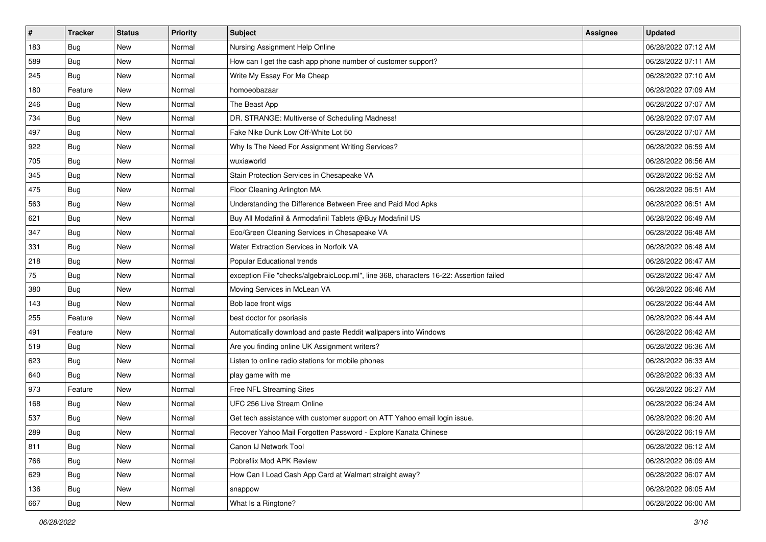| $\sharp$ | <b>Tracker</b> | <b>Status</b> | <b>Priority</b> | <b>Subject</b>                                                                         | <b>Assignee</b> | <b>Updated</b>      |
|----------|----------------|---------------|-----------------|----------------------------------------------------------------------------------------|-----------------|---------------------|
| 183      | <b>Bug</b>     | New           | Normal          | Nursing Assignment Help Online                                                         |                 | 06/28/2022 07:12 AM |
| 589      | <b>Bug</b>     | <b>New</b>    | Normal          | How can I get the cash app phone number of customer support?                           |                 | 06/28/2022 07:11 AM |
| 245      | <b>Bug</b>     | New           | Normal          | Write My Essay For Me Cheap                                                            |                 | 06/28/2022 07:10 AM |
| 180      | Feature        | New           | Normal          | homoeobazaar                                                                           |                 | 06/28/2022 07:09 AM |
| 246      | <b>Bug</b>     | <b>New</b>    | Normal          | The Beast App                                                                          |                 | 06/28/2022 07:07 AM |
| 734      | <b>Bug</b>     | New           | Normal          | DR. STRANGE: Multiverse of Scheduling Madness!                                         |                 | 06/28/2022 07:07 AM |
| 497      | Bug            | New           | Normal          | Fake Nike Dunk Low Off-White Lot 50                                                    |                 | 06/28/2022 07:07 AM |
| 922      | Bug            | New           | Normal          | Why Is The Need For Assignment Writing Services?                                       |                 | 06/28/2022 06:59 AM |
| 705      | <b>Bug</b>     | New           | Normal          | wuxiaworld                                                                             |                 | 06/28/2022 06:56 AM |
| 345      | Bug            | <b>New</b>    | Normal          | Stain Protection Services in Chesapeake VA                                             |                 | 06/28/2022 06:52 AM |
| 475      | <b>Bug</b>     | New           | Normal          | Floor Cleaning Arlington MA                                                            |                 | 06/28/2022 06:51 AM |
| 563      | <b>Bug</b>     | New           | Normal          | Understanding the Difference Between Free and Paid Mod Apks                            |                 | 06/28/2022 06:51 AM |
| 621      | Bug            | <b>New</b>    | Normal          | Buy All Modafinil & Armodafinil Tablets @Buy Modafinil US                              |                 | 06/28/2022 06:49 AM |
| 347      | <b>Bug</b>     | New           | Normal          | Eco/Green Cleaning Services in Chesapeake VA                                           |                 | 06/28/2022 06:48 AM |
| 331      | Bug            | <b>New</b>    | Normal          | Water Extraction Services in Norfolk VA                                                |                 | 06/28/2022 06:48 AM |
| 218      | <b>Bug</b>     | New           | Normal          | Popular Educational trends                                                             |                 | 06/28/2022 06:47 AM |
| 75       | <b>Bug</b>     | New           | Normal          | exception File "checks/algebraicLoop.ml", line 368, characters 16-22: Assertion failed |                 | 06/28/2022 06:47 AM |
| 380      | Bug            | <b>New</b>    | Normal          | Moving Services in McLean VA                                                           |                 | 06/28/2022 06:46 AM |
| 143      | <b>Bug</b>     | New           | Normal          | Bob lace front wigs                                                                    |                 | 06/28/2022 06:44 AM |
| 255      | Feature        | New           | Normal          | best doctor for psoriasis                                                              |                 | 06/28/2022 06:44 AM |
| 491      | Feature        | New           | Normal          | Automatically download and paste Reddit wallpapers into Windows                        |                 | 06/28/2022 06:42 AM |
| 519      | <b>Bug</b>     | New           | Normal          | Are you finding online UK Assignment writers?                                          |                 | 06/28/2022 06:36 AM |
| 623      | Bug            | <b>New</b>    | Normal          | Listen to online radio stations for mobile phones                                      |                 | 06/28/2022 06:33 AM |
| 640      | <b>Bug</b>     | New           | Normal          | play game with me                                                                      |                 | 06/28/2022 06:33 AM |
| 973      | Feature        | New           | Normal          | Free NFL Streaming Sites                                                               |                 | 06/28/2022 06:27 AM |
| 168      | <b>Bug</b>     | <b>New</b>    | Normal          | UFC 256 Live Stream Online                                                             |                 | 06/28/2022 06:24 AM |
| 537      | <b>Bug</b>     | New           | Normal          | Get tech assistance with customer support on ATT Yahoo email login issue.              |                 | 06/28/2022 06:20 AM |
| 289      | <b>Bug</b>     | New           | Normal          | Recover Yahoo Mail Forgotten Password - Explore Kanata Chinese                         |                 | 06/28/2022 06:19 AM |
| 811      | <b>Bug</b>     | New           | Normal          | Canon IJ Network Tool                                                                  |                 | 06/28/2022 06:12 AM |
| 766      | <b>Bug</b>     | New           | Normal          | Pobreflix Mod APK Review                                                               |                 | 06/28/2022 06:09 AM |
| 629      | Bug            | New           | Normal          | How Can I Load Cash App Card at Walmart straight away?                                 |                 | 06/28/2022 06:07 AM |
| 136      | <b>Bug</b>     | New           | Normal          | snappow                                                                                |                 | 06/28/2022 06:05 AM |
| 667      | <b>Bug</b>     | New           | Normal          | What Is a Ringtone?                                                                    |                 | 06/28/2022 06:00 AM |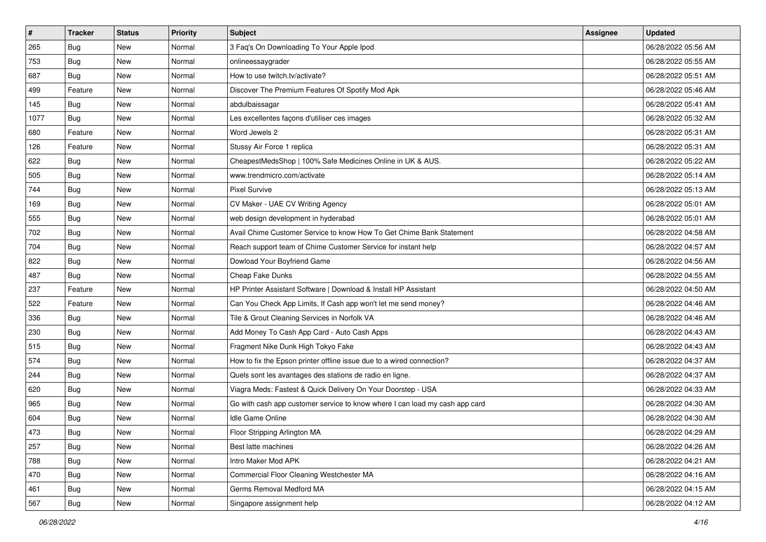| $\sharp$ | <b>Tracker</b> | <b>Status</b> | <b>Priority</b> | <b>Subject</b>                                                              | <b>Assignee</b> | <b>Updated</b>      |
|----------|----------------|---------------|-----------------|-----------------------------------------------------------------------------|-----------------|---------------------|
| 265      | <b>Bug</b>     | New           | Normal          | 3 Faq's On Downloading To Your Apple Ipod                                   |                 | 06/28/2022 05:56 AM |
| 753      | Bug            | <b>New</b>    | Normal          | onlineessaygrader                                                           |                 | 06/28/2022 05:55 AM |
| 687      | <b>Bug</b>     | New           | Normal          | How to use twitch.tv/activate?                                              |                 | 06/28/2022 05:51 AM |
| 499      | Feature        | New           | Normal          | Discover The Premium Features Of Spotify Mod Apk                            |                 | 06/28/2022 05:46 AM |
| 145      | Bug            | <b>New</b>    | Normal          | abdulbaissagar                                                              |                 | 06/28/2022 05:41 AM |
| 1077     | <b>Bug</b>     | New           | Normal          | Les excellentes façons d'utiliser ces images                                |                 | 06/28/2022 05:32 AM |
| 680      | Feature        | New           | Normal          | Word Jewels 2                                                               |                 | 06/28/2022 05:31 AM |
| 126      | Feature        | New           | Normal          | Stussy Air Force 1 replica                                                  |                 | 06/28/2022 05:31 AM |
| 622      | Bug            | New           | Normal          | CheapestMedsShop   100% Safe Medicines Online in UK & AUS.                  |                 | 06/28/2022 05:22 AM |
| 505      | Bug            | <b>New</b>    | Normal          | www.trendmicro.com/activate                                                 |                 | 06/28/2022 05:14 AM |
| 744      | <b>Bug</b>     | New           | Normal          | <b>Pixel Survive</b>                                                        |                 | 06/28/2022 05:13 AM |
| 169      | <b>Bug</b>     | New           | Normal          | CV Maker - UAE CV Writing Agency                                            |                 | 06/28/2022 05:01 AM |
| 555      | Bug            | <b>New</b>    | Normal          | web design development in hyderabad                                         |                 | 06/28/2022 05:01 AM |
| 702      | <b>Bug</b>     | New           | Normal          | Avail Chime Customer Service to know How To Get Chime Bank Statement        |                 | 06/28/2022 04:58 AM |
| 704      | Bug            | New           | Normal          | Reach support team of Chime Customer Service for instant help               |                 | 06/28/2022 04:57 AM |
| 822      | <b>Bug</b>     | New           | Normal          | Dowload Your Boyfriend Game                                                 |                 | 06/28/2022 04:56 AM |
| 487      | Bug            | <b>New</b>    | Normal          | Cheap Fake Dunks                                                            |                 | 06/28/2022 04:55 AM |
| 237      | Feature        | <b>New</b>    | Normal          | HP Printer Assistant Software   Download & Install HP Assistant             |                 | 06/28/2022 04:50 AM |
| 522      | Feature        | New           | Normal          | Can You Check App Limits, If Cash app won't let me send money?              |                 | 06/28/2022 04:46 AM |
| 336      | <b>Bug</b>     | New           | Normal          | Tile & Grout Cleaning Services in Norfolk VA                                |                 | 06/28/2022 04:46 AM |
| 230      | Bug            | New           | Normal          | Add Money To Cash App Card - Auto Cash Apps                                 |                 | 06/28/2022 04:43 AM |
| 515      | <b>Bug</b>     | <b>New</b>    | Normal          | Fragment Nike Dunk High Tokyo Fake                                          |                 | 06/28/2022 04:43 AM |
| 574      | Bug            | <b>New</b>    | Normal          | How to fix the Epson printer offline issue due to a wired connection?       |                 | 06/28/2022 04:37 AM |
| 244      | <b>Bug</b>     | New           | Normal          | Quels sont les avantages des stations de radio en ligne.                    |                 | 06/28/2022 04:37 AM |
| 620      | <b>Bug</b>     | New           | Normal          | Viagra Meds: Fastest & Quick Delivery On Your Doorstep - USA                |                 | 06/28/2022 04:33 AM |
| 965      | <b>Bug</b>     | <b>New</b>    | Normal          | Go with cash app customer service to know where I can load my cash app card |                 | 06/28/2022 04:30 AM |
| 604      | <b>Bug</b>     | New           | Normal          | Idle Game Online                                                            |                 | 06/28/2022 04:30 AM |
| 473      | <b>Bug</b>     | New           | Normal          | Floor Stripping Arlington MA                                                |                 | 06/28/2022 04:29 AM |
| 257      | Bug            | New           | Normal          | Best latte machines                                                         |                 | 06/28/2022 04:26 AM |
| 788      | <b>Bug</b>     | New           | Normal          | Intro Maker Mod APK                                                         |                 | 06/28/2022 04:21 AM |
| 470      | Bug            | New           | Normal          | Commercial Floor Cleaning Westchester MA                                    |                 | 06/28/2022 04:16 AM |
| 461      | <b>Bug</b>     | New           | Normal          | Germs Removal Medford MA                                                    |                 | 06/28/2022 04:15 AM |
| 567      | <b>Bug</b>     | New           | Normal          | Singapore assignment help                                                   |                 | 06/28/2022 04:12 AM |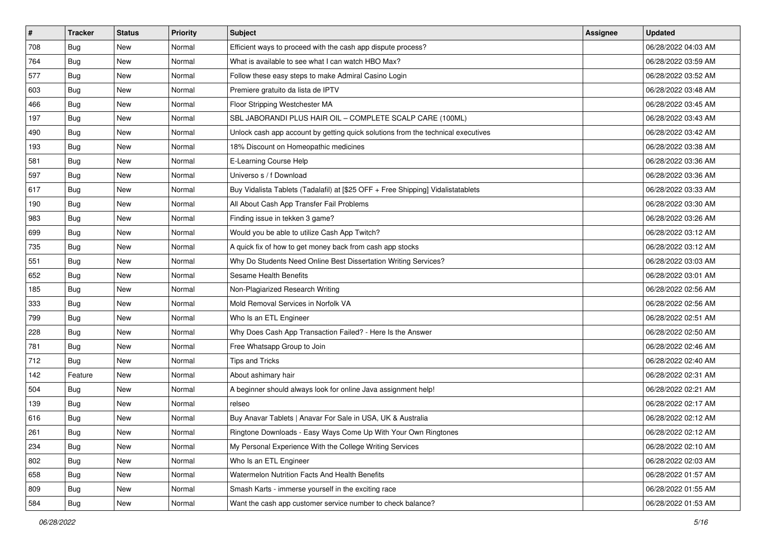| #   | <b>Tracker</b> | <b>Status</b> | <b>Priority</b> | Subject                                                                          | <b>Assignee</b> | <b>Updated</b>      |
|-----|----------------|---------------|-----------------|----------------------------------------------------------------------------------|-----------------|---------------------|
| 708 | <b>Bug</b>     | New           | Normal          | Efficient ways to proceed with the cash app dispute process?                     |                 | 06/28/2022 04:03 AM |
| 764 | Bug            | <b>New</b>    | Normal          | What is available to see what I can watch HBO Max?                               |                 | 06/28/2022 03:59 AM |
| 577 | <b>Bug</b>     | New           | Normal          | Follow these easy steps to make Admiral Casino Login                             |                 | 06/28/2022 03:52 AM |
| 603 | Bug            | New           | Normal          | Premiere gratuito da lista de IPTV                                               |                 | 06/28/2022 03:48 AM |
| 466 | Bug            | New           | Normal          | Floor Stripping Westchester MA                                                   |                 | 06/28/2022 03:45 AM |
| 197 | Bug            | New           | Normal          | SBL JABORANDI PLUS HAIR OIL - COMPLETE SCALP CARE (100ML)                        |                 | 06/28/2022 03:43 AM |
| 490 | Bug            | New           | Normal          | Unlock cash app account by getting quick solutions from the technical executives |                 | 06/28/2022 03:42 AM |
| 193 | <b>Bug</b>     | New           | Normal          | 18% Discount on Homeopathic medicines                                            |                 | 06/28/2022 03:38 AM |
| 581 | <b>Bug</b>     | New           | Normal          | E-Learning Course Help                                                           |                 | 06/28/2022 03:36 AM |
| 597 | Bug            | New           | Normal          | Universo s / f Download                                                          |                 | 06/28/2022 03:36 AM |
| 617 | <b>Bug</b>     | New           | Normal          | Buy Vidalista Tablets (Tadalafil) at [\$25 OFF + Free Shipping] Vidalistatablets |                 | 06/28/2022 03:33 AM |
| 190 | Bug            | New           | Normal          | All About Cash App Transfer Fail Problems                                        |                 | 06/28/2022 03:30 AM |
| 983 | Bug            | New           | Normal          | Finding issue in tekken 3 game?                                                  |                 | 06/28/2022 03:26 AM |
| 699 | Bug            | New           | Normal          | Would you be able to utilize Cash App Twitch?                                    |                 | 06/28/2022 03:12 AM |
| 735 | Bug            | New           | Normal          | A quick fix of how to get money back from cash app stocks                        |                 | 06/28/2022 03:12 AM |
| 551 | <b>Bug</b>     | New           | Normal          | Why Do Students Need Online Best Dissertation Writing Services?                  |                 | 06/28/2022 03:03 AM |
| 652 | Bug            | New           | Normal          | Sesame Health Benefits                                                           |                 | 06/28/2022 03:01 AM |
| 185 | <b>Bug</b>     | New           | Normal          | Non-Plagiarized Research Writing                                                 |                 | 06/28/2022 02:56 AM |
| 333 | Bug            | New           | Normal          | Mold Removal Services in Norfolk VA                                              |                 | 06/28/2022 02:56 AM |
| 799 | Bug            | New           | Normal          | Who Is an ETL Engineer                                                           |                 | 06/28/2022 02:51 AM |
| 228 | <b>Bug</b>     | New           | Normal          | Why Does Cash App Transaction Failed? - Here Is the Answer                       |                 | 06/28/2022 02:50 AM |
| 781 | <b>Bug</b>     | New           | Normal          | Free Whatsapp Group to Join                                                      |                 | 06/28/2022 02:46 AM |
| 712 | Bug            | <b>New</b>    | Normal          | Tips and Tricks                                                                  |                 | 06/28/2022 02:40 AM |
| 142 | Feature        | New           | Normal          | About ashimary hair                                                              |                 | 06/28/2022 02:31 AM |
| 504 | Bug            | New           | Normal          | A beginner should always look for online Java assignment help!                   |                 | 06/28/2022 02:21 AM |
| 139 | Bug            | New           | Normal          | relseo                                                                           |                 | 06/28/2022 02:17 AM |
| 616 | <b>Bug</b>     | New           | Normal          | Buy Anavar Tablets   Anavar For Sale in USA, UK & Australia                      |                 | 06/28/2022 02:12 AM |
| 261 | <b>Bug</b>     | New           | Normal          | Ringtone Downloads - Easy Ways Come Up With Your Own Ringtones                   |                 | 06/28/2022 02:12 AM |
| 234 | <b>Bug</b>     | New           | Normal          | My Personal Experience With the College Writing Services                         |                 | 06/28/2022 02:10 AM |
| 802 | Bug            | New           | Normal          | Who Is an ETL Engineer                                                           |                 | 06/28/2022 02:03 AM |
| 658 | <b>Bug</b>     | New           | Normal          | Watermelon Nutrition Facts And Health Benefits                                   |                 | 06/28/2022 01:57 AM |
| 809 | <b>Bug</b>     | New           | Normal          | Smash Karts - immerse yourself in the exciting race                              |                 | 06/28/2022 01:55 AM |
| 584 | <b>Bug</b>     | New           | Normal          | Want the cash app customer service number to check balance?                      |                 | 06/28/2022 01:53 AM |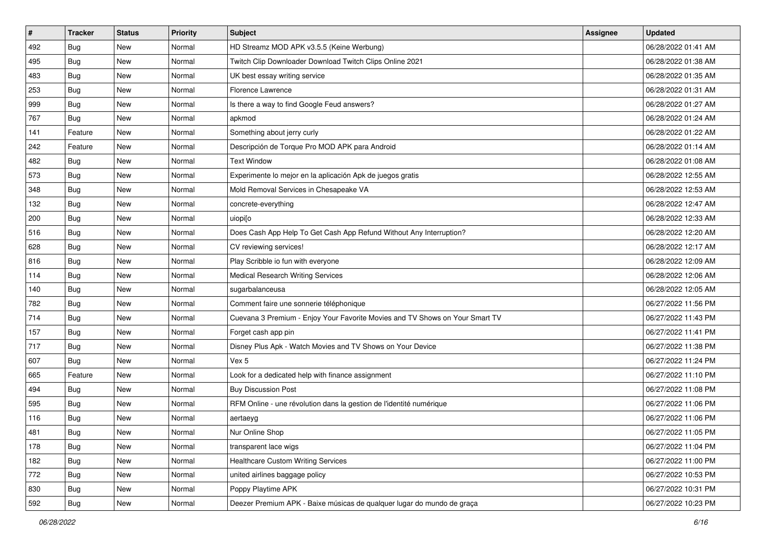| #   | <b>Tracker</b> | <b>Status</b> | <b>Priority</b> | <b>Subject</b>                                                               | <b>Assignee</b> | <b>Updated</b>      |
|-----|----------------|---------------|-----------------|------------------------------------------------------------------------------|-----------------|---------------------|
| 492 | <b>Bug</b>     | New           | Normal          | HD Streamz MOD APK v3.5.5 (Keine Werbung)                                    |                 | 06/28/2022 01:41 AM |
| 495 | Bug            | New           | Normal          | Twitch Clip Downloader Download Twitch Clips Online 2021                     |                 | 06/28/2022 01:38 AM |
| 483 | <b>Bug</b>     | New           | Normal          | UK best essay writing service                                                |                 | 06/28/2022 01:35 AM |
| 253 | <b>Bug</b>     | New           | Normal          | Florence Lawrence                                                            |                 | 06/28/2022 01:31 AM |
| 999 | Bug            | <b>New</b>    | Normal          | Is there a way to find Google Feud answers?                                  |                 | 06/28/2022 01:27 AM |
| 767 | <b>Bug</b>     | New           | Normal          | apkmod                                                                       |                 | 06/28/2022 01:24 AM |
| 141 | Feature        | New           | Normal          | Something about jerry curly                                                  |                 | 06/28/2022 01:22 AM |
| 242 | Feature        | New           | Normal          | Descripción de Torque Pro MOD APK para Android                               |                 | 06/28/2022 01:14 AM |
| 482 | <b>Bug</b>     | New           | Normal          | <b>Text Window</b>                                                           |                 | 06/28/2022 01:08 AM |
| 573 | <b>Bug</b>     | <b>New</b>    | Normal          | Experimente lo mejor en la aplicación Apk de juegos gratis                   |                 | 06/28/2022 12:55 AM |
| 348 | <b>Bug</b>     | New           | Normal          | Mold Removal Services in Chesapeake VA                                       |                 | 06/28/2022 12:53 AM |
| 132 | <b>Bug</b>     | New           | Normal          | concrete-everything                                                          |                 | 06/28/2022 12:47 AM |
| 200 | <b>Bug</b>     | New           | Normal          | uiopilo                                                                      |                 | 06/28/2022 12:33 AM |
| 516 | Bug            | <b>New</b>    | Normal          | Does Cash App Help To Get Cash App Refund Without Any Interruption?          |                 | 06/28/2022 12:20 AM |
| 628 | Bug            | New           | Normal          | CV reviewing services!                                                       |                 | 06/28/2022 12:17 AM |
| 816 | <b>Bug</b>     | New           | Normal          | Play Scribble io fun with everyone                                           |                 | 06/28/2022 12:09 AM |
| 114 | <b>Bug</b>     | New           | Normal          | <b>Medical Research Writing Services</b>                                     |                 | 06/28/2022 12:06 AM |
| 140 | <b>Bug</b>     | <b>New</b>    | Normal          | sugarbalanceusa                                                              |                 | 06/28/2022 12:05 AM |
| 782 | <b>Bug</b>     | New           | Normal          | Comment faire une sonnerie téléphonique                                      |                 | 06/27/2022 11:56 PM |
| 714 | Bug            | New           | Normal          | Cuevana 3 Premium - Enjoy Your Favorite Movies and TV Shows on Your Smart TV |                 | 06/27/2022 11:43 PM |
| 157 | <b>Bug</b>     | New           | Normal          | Forget cash app pin                                                          |                 | 06/27/2022 11:41 PM |
| 717 | Bug            | New           | Normal          | Disney Plus Apk - Watch Movies and TV Shows on Your Device                   |                 | 06/27/2022 11:38 PM |
| 607 | <b>Bug</b>     | New           | Normal          | Vex 5                                                                        |                 | 06/27/2022 11:24 PM |
| 665 | Feature        | New           | Normal          | Look for a dedicated help with finance assignment                            |                 | 06/27/2022 11:10 PM |
| 494 | <b>Bug</b>     | New           | Normal          | <b>Buy Discussion Post</b>                                                   |                 | 06/27/2022 11:08 PM |
| 595 | <b>Bug</b>     | New           | Normal          | RFM Online - une révolution dans la gestion de l'identité numérique          |                 | 06/27/2022 11:06 PM |
| 116 | <b>Bug</b>     | New           | Normal          | aertaeyg                                                                     |                 | 06/27/2022 11:06 PM |
| 481 | <b>Bug</b>     | New           | Normal          | Nur Online Shop                                                              |                 | 06/27/2022 11:05 PM |
| 178 | Bug            | New           | Normal          | transparent lace wigs                                                        |                 | 06/27/2022 11:04 PM |
| 182 | Bug            | New           | Normal          | <b>Healthcare Custom Writing Services</b>                                    |                 | 06/27/2022 11:00 PM |
| 772 | Bug            | New           | Normal          | united airlines baggage policy                                               |                 | 06/27/2022 10:53 PM |
| 830 | <b>Bug</b>     | New           | Normal          | Poppy Playtime APK                                                           |                 | 06/27/2022 10:31 PM |
| 592 | <b>Bug</b>     | New           | Normal          | Deezer Premium APK - Baixe músicas de qualquer lugar do mundo de graça       |                 | 06/27/2022 10:23 PM |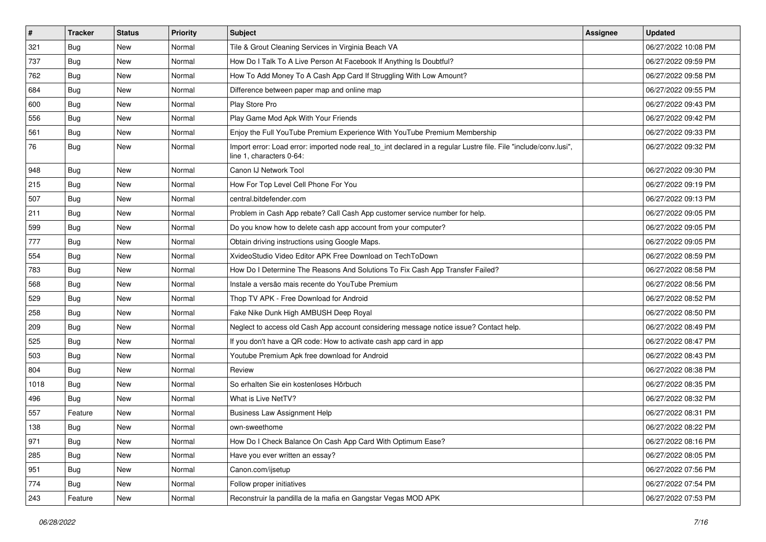| $\vert$ # | <b>Tracker</b> | <b>Status</b> | <b>Priority</b> | Subject                                                                                                                                      | Assignee | <b>Updated</b>      |
|-----------|----------------|---------------|-----------------|----------------------------------------------------------------------------------------------------------------------------------------------|----------|---------------------|
| 321       | <b>Bug</b>     | New           | Normal          | Tile & Grout Cleaning Services in Virginia Beach VA                                                                                          |          | 06/27/2022 10:08 PM |
| 737       | <b>Bug</b>     | <b>New</b>    | Normal          | How Do I Talk To A Live Person At Facebook If Anything Is Doubtful?                                                                          |          | 06/27/2022 09:59 PM |
| 762       | Bug            | New           | Normal          | How To Add Money To A Cash App Card If Struggling With Low Amount?                                                                           |          | 06/27/2022 09:58 PM |
| 684       | <b>Bug</b>     | New           | Normal          | Difference between paper map and online map                                                                                                  |          | 06/27/2022 09:55 PM |
| 600       | Bug            | <b>New</b>    | Normal          | Play Store Pro                                                                                                                               |          | 06/27/2022 09:43 PM |
| 556       | <b>Bug</b>     | New           | Normal          | Play Game Mod Apk With Your Friends                                                                                                          |          | 06/27/2022 09:42 PM |
| 561       | Bug            | <b>New</b>    | Normal          | Enjoy the Full YouTube Premium Experience With YouTube Premium Membership                                                                    |          | 06/27/2022 09:33 PM |
| 76        | Bug            | New           | Normal          | Import error: Load error: imported node real to int declared in a regular Lustre file. File "include/conv.lusi",<br>line 1, characters 0-64: |          | 06/27/2022 09:32 PM |
| 948       | Bug            | <b>New</b>    | Normal          | Canon IJ Network Tool                                                                                                                        |          | 06/27/2022 09:30 PM |
| 215       | <b>Bug</b>     | New           | Normal          | How For Top Level Cell Phone For You                                                                                                         |          | 06/27/2022 09:19 PM |
| 507       | Bug            | New           | Normal          | central.bitdefender.com                                                                                                                      |          | 06/27/2022 09:13 PM |
| 211       | <b>Bug</b>     | New           | Normal          | Problem in Cash App rebate? Call Cash App customer service number for help.                                                                  |          | 06/27/2022 09:05 PM |
| 599       | Bug            | New           | Normal          | Do you know how to delete cash app account from your computer?                                                                               |          | 06/27/2022 09:05 PM |
| 777       | <b>Bug</b>     | <b>New</b>    | Normal          | Obtain driving instructions using Google Maps.                                                                                               |          | 06/27/2022 09:05 PM |
| 554       | Bug            | New           | Normal          | XvideoStudio Video Editor APK Free Download on TechToDown                                                                                    |          | 06/27/2022 08:59 PM |
| 783       | <b>Bug</b>     | New           | Normal          | How Do I Determine The Reasons And Solutions To Fix Cash App Transfer Failed?                                                                |          | 06/27/2022 08:58 PM |
| 568       | Bug            | <b>New</b>    | Normal          | Instale a versão mais recente do YouTube Premium                                                                                             |          | 06/27/2022 08:56 PM |
| 529       | <b>Bug</b>     | New           | Normal          | Thop TV APK - Free Download for Android                                                                                                      |          | 06/27/2022 08:52 PM |
| 258       | <b>Bug</b>     | <b>New</b>    | Normal          | Fake Nike Dunk High AMBUSH Deep Royal                                                                                                        |          | 06/27/2022 08:50 PM |
| 209       | Bug            | New           | Normal          | Neglect to access old Cash App account considering message notice issue? Contact help.                                                       |          | 06/27/2022 08:49 PM |
| 525       | <b>Bug</b>     | <b>New</b>    | Normal          | If you don't have a QR code: How to activate cash app card in app                                                                            |          | 06/27/2022 08:47 PM |
| 503       | Bug            | <b>New</b>    | Normal          | Youtube Premium Apk free download for Android                                                                                                |          | 06/27/2022 08:43 PM |
| 804       | Bug            | New           | Normal          | Review                                                                                                                                       |          | 06/27/2022 08:38 PM |
| 1018      | <b>Bug</b>     | New           | Normal          | So erhalten Sie ein kostenloses Hörbuch                                                                                                      |          | 06/27/2022 08:35 PM |
| 496       | Bug            | New           | Normal          | What is Live NetTV?                                                                                                                          |          | 06/27/2022 08:32 PM |
| 557       | Feature        | New           | Normal          | <b>Business Law Assignment Help</b>                                                                                                          |          | 06/27/2022 08:31 PM |
| 138       | <b>Bug</b>     | New           | Normal          | own-sweethome                                                                                                                                |          | 06/27/2022 08:22 PM |
| 971       | <b>Bug</b>     | New           | Normal          | How Do I Check Balance On Cash App Card With Optimum Ease?                                                                                   |          | 06/27/2022 08:16 PM |
| 285       | Bug            | New           | Normal          | Have you ever written an essay?                                                                                                              |          | 06/27/2022 08:05 PM |
| 951       | Bug            | New           | Normal          | Canon.com/ijsetup                                                                                                                            |          | 06/27/2022 07:56 PM |
| 774       | <b>Bug</b>     | New           | Normal          | Follow proper initiatives                                                                                                                    |          | 06/27/2022 07:54 PM |
| 243       | Feature        | New           | Normal          | Reconstruir la pandilla de la mafia en Gangstar Vegas MOD APK                                                                                |          | 06/27/2022 07:53 PM |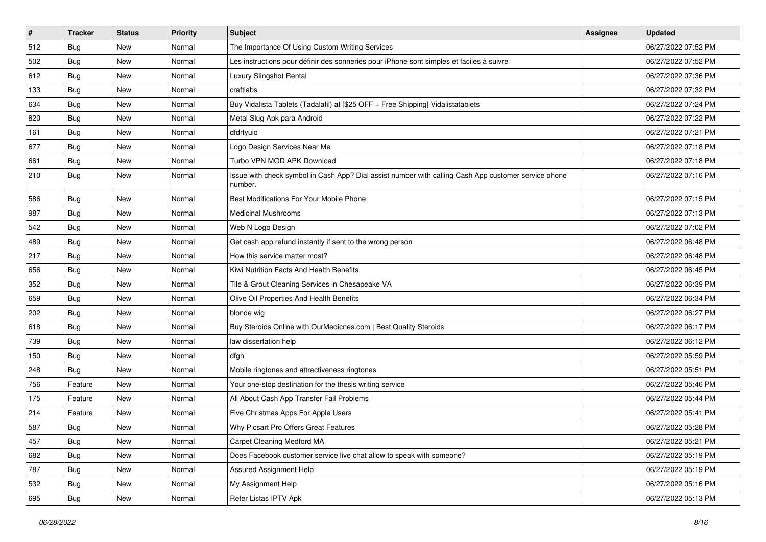| $\sharp$ | <b>Tracker</b> | <b>Status</b> | <b>Priority</b> | Subject                                                                                                         | Assignee | <b>Updated</b>      |
|----------|----------------|---------------|-----------------|-----------------------------------------------------------------------------------------------------------------|----------|---------------------|
| 512      | <b>Bug</b>     | New           | Normal          | The Importance Of Using Custom Writing Services                                                                 |          | 06/27/2022 07:52 PM |
| 502      | <b>Bug</b>     | New           | Normal          | Les instructions pour définir des sonneries pour iPhone sont simples et faciles à suivre                        |          | 06/27/2022 07:52 PM |
| 612      | <b>Bug</b>     | New           | Normal          | Luxury Slingshot Rental                                                                                         |          | 06/27/2022 07:36 PM |
| 133      | <b>Bug</b>     | New           | Normal          | craftlabs                                                                                                       |          | 06/27/2022 07:32 PM |
| 634      | Bug            | New           | Normal          | Buy Vidalista Tablets (Tadalafil) at [\$25 OFF + Free Shipping] Vidalistatablets                                |          | 06/27/2022 07:24 PM |
| 820      | <b>Bug</b>     | New           | Normal          | Metal Slug Apk para Android                                                                                     |          | 06/27/2022 07:22 PM |
| 161      | <b>Bug</b>     | New           | Normal          | dfdrtyuio                                                                                                       |          | 06/27/2022 07:21 PM |
| 677      | <b>Bug</b>     | New           | Normal          | Logo Design Services Near Me                                                                                    |          | 06/27/2022 07:18 PM |
| 661      | Bug            | <b>New</b>    | Normal          | Turbo VPN MOD APK Download                                                                                      |          | 06/27/2022 07:18 PM |
| 210      | Bug            | New           | Normal          | Issue with check symbol in Cash App? Dial assist number with calling Cash App customer service phone<br>number. |          | 06/27/2022 07:16 PM |
| 586      | Bug            | <b>New</b>    | Normal          | Best Modifications For Your Mobile Phone                                                                        |          | 06/27/2022 07:15 PM |
| 987      | Bug            | <b>New</b>    | Normal          | <b>Medicinal Mushrooms</b>                                                                                      |          | 06/27/2022 07:13 PM |
| 542      | <b>Bug</b>     | New           | Normal          | Web N Logo Design                                                                                               |          | 06/27/2022 07:02 PM |
| 489      | Bug            | New           | Normal          | Get cash app refund instantly if sent to the wrong person                                                       |          | 06/27/2022 06:48 PM |
| 217      | <b>Bug</b>     | New           | Normal          | How this service matter most?                                                                                   |          | 06/27/2022 06:48 PM |
| 656      | <b>Bug</b>     | New           | Normal          | Kiwi Nutrition Facts And Health Benefits                                                                        |          | 06/27/2022 06:45 PM |
| 352      | Bug            | New           | Normal          | Tile & Grout Cleaning Services in Chesapeake VA                                                                 |          | 06/27/2022 06:39 PM |
| 659      | <b>Bug</b>     | New           | Normal          | Olive Oil Properties And Health Benefits                                                                        |          | 06/27/2022 06:34 PM |
| 202      | <b>Bug</b>     | New           | Normal          | blonde wig                                                                                                      |          | 06/27/2022 06:27 PM |
| 618      | <b>Bug</b>     | <b>New</b>    | Normal          | Buy Steroids Online with OurMedicnes.com   Best Quality Steroids                                                |          | 06/27/2022 06:17 PM |
| 739      | <b>Bug</b>     | <b>New</b>    | Normal          | law dissertation help                                                                                           |          | 06/27/2022 06:12 PM |
| 150      | Bug            | New           | Normal          | dfgh                                                                                                            |          | 06/27/2022 05:59 PM |
| 248      | <b>Bug</b>     | New           | Normal          | Mobile ringtones and attractiveness ringtones                                                                   |          | 06/27/2022 05:51 PM |
| 756      | Feature        | New           | Normal          | Your one-stop destination for the thesis writing service                                                        |          | 06/27/2022 05:46 PM |
| 175      | Feature        | New           | Normal          | All About Cash App Transfer Fail Problems                                                                       |          | 06/27/2022 05:44 PM |
| 214      | Feature        | New           | Normal          | Five Christmas Apps For Apple Users                                                                             |          | 06/27/2022 05:41 PM |
| 587      | <b>Bug</b>     | New           | Normal          | Why Picsart Pro Offers Great Features                                                                           |          | 06/27/2022 05:28 PM |
| 457      | <b>Bug</b>     | New           | Normal          | Carpet Cleaning Medford MA                                                                                      |          | 06/27/2022 05:21 PM |
| 682      | <b>Bug</b>     | New           | Normal          | Does Facebook customer service live chat allow to speak with someone?                                           |          | 06/27/2022 05:19 PM |
| 787      | <b>Bug</b>     | New           | Normal          | <b>Assured Assignment Help</b>                                                                                  |          | 06/27/2022 05:19 PM |
| 532      | Bug            | New           | Normal          | My Assignment Help                                                                                              |          | 06/27/2022 05:16 PM |
| 695      | <b>Bug</b>     | New           | Normal          | Refer Listas IPTV Apk                                                                                           |          | 06/27/2022 05:13 PM |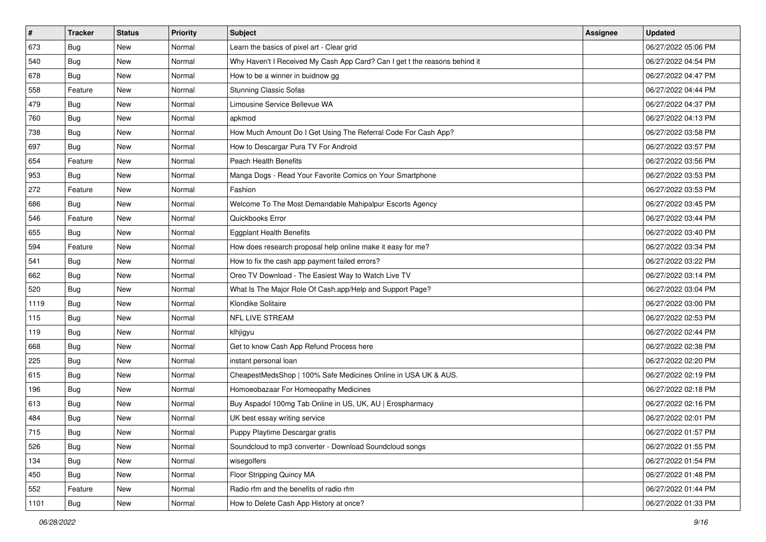| $\sharp$ | <b>Tracker</b> | <b>Status</b> | <b>Priority</b> | Subject                                                                    | <b>Assignee</b> | <b>Updated</b>      |
|----------|----------------|---------------|-----------------|----------------------------------------------------------------------------|-----------------|---------------------|
| 673      | <b>Bug</b>     | New           | Normal          | Learn the basics of pixel art - Clear grid                                 |                 | 06/27/2022 05:06 PM |
| 540      | <b>Bug</b>     | New           | Normal          | Why Haven't I Received My Cash App Card? Can I get t the reasons behind it |                 | 06/27/2022 04:54 PM |
| 678      | <b>Bug</b>     | New           | Normal          | How to be a winner in buidnow gg                                           |                 | 06/27/2022 04:47 PM |
| 558      | Feature        | New           | Normal          | <b>Stunning Classic Sofas</b>                                              |                 | 06/27/2022 04:44 PM |
| 479      | Bug            | New           | Normal          | Limousine Service Bellevue WA                                              |                 | 06/27/2022 04:37 PM |
| 760      | <b>Bug</b>     | New           | Normal          | apkmod                                                                     |                 | 06/27/2022 04:13 PM |
| 738      | <b>Bug</b>     | New           | Normal          | How Much Amount Do I Get Using The Referral Code For Cash App?             |                 | 06/27/2022 03:58 PM |
| 697      | <b>Bug</b>     | New           | Normal          | How to Descargar Pura TV For Android                                       |                 | 06/27/2022 03:57 PM |
| 654      | Feature        | New           | Normal          | <b>Peach Health Benefits</b>                                               |                 | 06/27/2022 03:56 PM |
| 953      | Bug            | New           | Normal          | Manga Dogs - Read Your Favorite Comics on Your Smartphone                  |                 | 06/27/2022 03:53 PM |
| 272      | Feature        | New           | Normal          | Fashion                                                                    |                 | 06/27/2022 03:53 PM |
| 686      | <b>Bug</b>     | New           | Normal          | Welcome To The Most Demandable Mahipalpur Escorts Agency                   |                 | 06/27/2022 03:45 PM |
| 546      | Feature        | New           | Normal          | Quickbooks Error                                                           |                 | 06/27/2022 03:44 PM |
| 655      | <b>Bug</b>     | New           | Normal          | <b>Eggplant Health Benefits</b>                                            |                 | 06/27/2022 03:40 PM |
| 594      | Feature        | New           | Normal          | How does research proposal help online make it easy for me?                |                 | 06/27/2022 03:34 PM |
| 541      | <b>Bug</b>     | New           | Normal          | How to fix the cash app payment failed errors?                             |                 | 06/27/2022 03:22 PM |
| 662      | <b>Bug</b>     | New           | Normal          | Oreo TV Download - The Easiest Way to Watch Live TV                        |                 | 06/27/2022 03:14 PM |
| 520      | Bug            | <b>New</b>    | Normal          | What Is The Major Role Of Cash.app/Help and Support Page?                  |                 | 06/27/2022 03:04 PM |
| 1119     | <b>Bug</b>     | New           | Normal          | Klondike Solitaire                                                         |                 | 06/27/2022 03:00 PM |
| 115      | Bug            | New           | Normal          | <b>NFL LIVE STREAM</b>                                                     |                 | 06/27/2022 02:53 PM |
| 119      | <b>Bug</b>     | New           | Normal          | klhjigyu                                                                   |                 | 06/27/2022 02:44 PM |
| 668      | <b>Bug</b>     | New           | Normal          | Get to know Cash App Refund Process here                                   |                 | 06/27/2022 02:38 PM |
| 225      | Bug            | New           | Normal          | instant personal loan                                                      |                 | 06/27/2022 02:20 PM |
| 615      | <b>Bug</b>     | New           | Normal          | CheapestMedsShop   100% Safe Medicines Online in USA UK & AUS.             |                 | 06/27/2022 02:19 PM |
| 196      | <b>Bug</b>     | New           | Normal          | Homoeobazaar For Homeopathy Medicines                                      |                 | 06/27/2022 02:18 PM |
| 613      | <b>Bug</b>     | New           | Normal          | Buy Aspadol 100mg Tab Online in US, UK, AU   Erospharmacy                  |                 | 06/27/2022 02:16 PM |
| 484      | <b>Bug</b>     | New           | Normal          | UK best essay writing service                                              |                 | 06/27/2022 02:01 PM |
| 715      | <b>Bug</b>     | New           | Normal          | Puppy Playtime Descargar gratis                                            |                 | 06/27/2022 01:57 PM |
| 526      | <b>Bug</b>     | New           | Normal          | Soundcloud to mp3 converter - Download Soundcloud songs                    |                 | 06/27/2022 01:55 PM |
| 134      | Bug            | New           | Normal          | wisegolfers                                                                |                 | 06/27/2022 01:54 PM |
| 450      | Bug            | New           | Normal          | Floor Stripping Quincy MA                                                  |                 | 06/27/2022 01:48 PM |
| 552      | Feature        | New           | Normal          | Radio rfm and the benefits of radio rfm                                    |                 | 06/27/2022 01:44 PM |
| 1101     | <b>Bug</b>     | New           | Normal          | How to Delete Cash App History at once?                                    |                 | 06/27/2022 01:33 PM |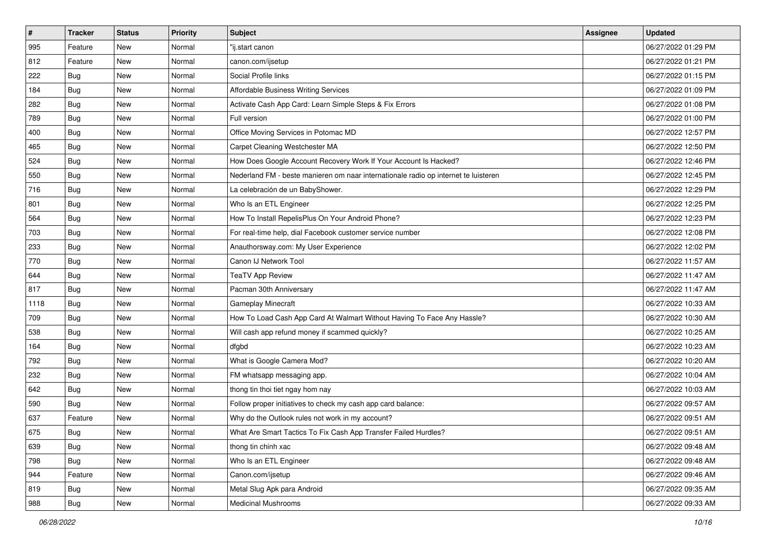| $\vert$ # | <b>Tracker</b> | <b>Status</b> | <b>Priority</b> | <b>Subject</b>                                                                      | <b>Assignee</b> | <b>Updated</b>      |
|-----------|----------------|---------------|-----------------|-------------------------------------------------------------------------------------|-----------------|---------------------|
| 995       | Feature        | New           | Normal          | "ij.start canon                                                                     |                 | 06/27/2022 01:29 PM |
| 812       | Feature        | <b>New</b>    | Normal          | canon.com/ijsetup                                                                   |                 | 06/27/2022 01:21 PM |
| 222       | <b>Bug</b>     | New           | Normal          | Social Profile links                                                                |                 | 06/27/2022 01:15 PM |
| 184       | Bug            | New           | Normal          | Affordable Business Writing Services                                                |                 | 06/27/2022 01:09 PM |
| 282       | <b>Bug</b>     | New           | Normal          | Activate Cash App Card: Learn Simple Steps & Fix Errors                             |                 | 06/27/2022 01:08 PM |
| 789       | Bug            | New           | Normal          | Full version                                                                        |                 | 06/27/2022 01:00 PM |
| 400       | <b>Bug</b>     | New           | Normal          | Office Moving Services in Potomac MD                                                |                 | 06/27/2022 12:57 PM |
| 465       | Bug            | New           | Normal          | Carpet Cleaning Westchester MA                                                      |                 | 06/27/2022 12:50 PM |
| 524       | Bug            | New           | Normal          | How Does Google Account Recovery Work If Your Account Is Hacked?                    |                 | 06/27/2022 12:46 PM |
| 550       | <b>Bug</b>     | New           | Normal          | Nederland FM - beste manieren om naar internationale radio op internet te luisteren |                 | 06/27/2022 12:45 PM |
| 716       | <b>Bug</b>     | New           | Normal          | La celebración de un BabyShower.                                                    |                 | 06/27/2022 12:29 PM |
| 801       | Bug            | New           | Normal          | Who Is an ETL Engineer                                                              |                 | 06/27/2022 12:25 PM |
| 564       | Bug            | New           | Normal          | How To Install RepelisPlus On Your Android Phone?                                   |                 | 06/27/2022 12:23 PM |
| 703       | Bug            | New           | Normal          | For real-time help, dial Facebook customer service number                           |                 | 06/27/2022 12:08 PM |
| 233       | <b>Bug</b>     | <b>New</b>    | Normal          | Anauthorsway.com: My User Experience                                                |                 | 06/27/2022 12:02 PM |
| 770       | Bug            | New           | Normal          | Canon IJ Network Tool                                                               |                 | 06/27/2022 11:57 AM |
| 644       | <b>Bug</b>     | New           | Normal          | <b>TeaTV App Review</b>                                                             |                 | 06/27/2022 11:47 AM |
| 817       | Bug            | New           | Normal          | Pacman 30th Anniversary                                                             |                 | 06/27/2022 11:47 AM |
| 1118      | Bug            | New           | Normal          | Gameplay Minecraft                                                                  |                 | 06/27/2022 10:33 AM |
| 709       | <b>Bug</b>     | New           | Normal          | How To Load Cash App Card At Walmart Without Having To Face Any Hassle?             |                 | 06/27/2022 10:30 AM |
| 538       | Bug            | New           | Normal          | Will cash app refund money if scammed quickly?                                      |                 | 06/27/2022 10:25 AM |
| 164       | Bug            | New           | Normal          | dfgbd                                                                               |                 | 06/27/2022 10:23 AM |
| 792       | <b>Bug</b>     | New           | Normal          | What is Google Camera Mod?                                                          |                 | 06/27/2022 10:20 AM |
| 232       | Bug            | New           | Normal          | FM whatsapp messaging app.                                                          |                 | 06/27/2022 10:04 AM |
| 642       | <b>Bug</b>     | New           | Normal          | thong tin thoi tiet ngay hom nay                                                    |                 | 06/27/2022 10:03 AM |
| 590       | Bug            | New           | Normal          | Follow proper initiatives to check my cash app card balance:                        |                 | 06/27/2022 09:57 AM |
| 637       | Feature        | New           | Normal          | Why do the Outlook rules not work in my account?                                    |                 | 06/27/2022 09:51 AM |
| 675       | <b>Bug</b>     | New           | Normal          | What Are Smart Tactics To Fix Cash App Transfer Failed Hurdles?                     |                 | 06/27/2022 09:51 AM |
| 639       | Bug            | New           | Normal          | thong tin chinh xac                                                                 |                 | 06/27/2022 09:48 AM |
| 798       | Bug            | New           | Normal          | Who Is an ETL Engineer                                                              |                 | 06/27/2022 09:48 AM |
| 944       | Feature        | New           | Normal          | Canon.com/ijsetup                                                                   |                 | 06/27/2022 09:46 AM |
| 819       | Bug            | New           | Normal          | Metal Slug Apk para Android                                                         |                 | 06/27/2022 09:35 AM |
| 988       | <b>Bug</b>     | New           | Normal          | Medicinal Mushrooms                                                                 |                 | 06/27/2022 09:33 AM |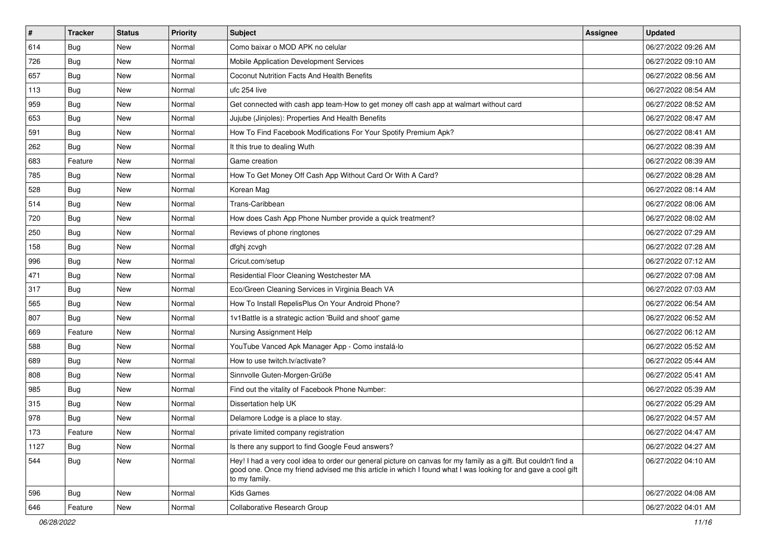| $\sharp$ | <b>Tracker</b> | <b>Status</b> | <b>Priority</b> | Subject                                                                                                                                                                                                                                           | <b>Assignee</b> | <b>Updated</b>      |
|----------|----------------|---------------|-----------------|---------------------------------------------------------------------------------------------------------------------------------------------------------------------------------------------------------------------------------------------------|-----------------|---------------------|
| 614      | <b>Bug</b>     | New           | Normal          | Como baixar o MOD APK no celular                                                                                                                                                                                                                  |                 | 06/27/2022 09:26 AM |
| 726      | <b>Bug</b>     | New           | Normal          | Mobile Application Development Services                                                                                                                                                                                                           |                 | 06/27/2022 09:10 AM |
| 657      | <b>Bug</b>     | New           | Normal          | Coconut Nutrition Facts And Health Benefits                                                                                                                                                                                                       |                 | 06/27/2022 08:56 AM |
| 113      | <b>Bug</b>     | New           | Normal          | ufc 254 live                                                                                                                                                                                                                                      |                 | 06/27/2022 08:54 AM |
| 959      | Bug            | <b>New</b>    | Normal          | Get connected with cash app team-How to get money off cash app at walmart without card                                                                                                                                                            |                 | 06/27/2022 08:52 AM |
| 653      | <b>Bug</b>     | New           | Normal          | Jujube (Jinjoles): Properties And Health Benefits                                                                                                                                                                                                 |                 | 06/27/2022 08:47 AM |
| 591      | <b>Bug</b>     | New           | Normal          | How To Find Facebook Modifications For Your Spotify Premium Apk?                                                                                                                                                                                  |                 | 06/27/2022 08:41 AM |
| 262      | Bug            | New           | Normal          | It this true to dealing Wuth                                                                                                                                                                                                                      |                 | 06/27/2022 08:39 AM |
| 683      | Feature        | <b>New</b>    | Normal          | Game creation                                                                                                                                                                                                                                     |                 | 06/27/2022 08:39 AM |
| 785      | <b>Bug</b>     | <b>New</b>    | Normal          | How To Get Money Off Cash App Without Card Or With A Card?                                                                                                                                                                                        |                 | 06/27/2022 08:28 AM |
| 528      | <b>Bug</b>     | New           | Normal          | Korean Mag                                                                                                                                                                                                                                        |                 | 06/27/2022 08:14 AM |
| 514      | <b>Bug</b>     | New           | Normal          | Trans-Caribbean                                                                                                                                                                                                                                   |                 | 06/27/2022 08:06 AM |
| 720      | <b>Bug</b>     | New           | Normal          | How does Cash App Phone Number provide a quick treatment?                                                                                                                                                                                         |                 | 06/27/2022 08:02 AM |
| 250      | <b>Bug</b>     | New           | Normal          | Reviews of phone ringtones                                                                                                                                                                                                                        |                 | 06/27/2022 07:29 AM |
| 158      | <b>Bug</b>     | New           | Normal          | dfghj zcvgh                                                                                                                                                                                                                                       |                 | 06/27/2022 07:28 AM |
| 996      | <b>Bug</b>     | New           | Normal          | Cricut.com/setup                                                                                                                                                                                                                                  |                 | 06/27/2022 07:12 AM |
| 471      | <b>Bug</b>     | New           | Normal          | Residential Floor Cleaning Westchester MA                                                                                                                                                                                                         |                 | 06/27/2022 07:08 AM |
| 317      | <b>Bug</b>     | <b>New</b>    | Normal          | Eco/Green Cleaning Services in Virginia Beach VA                                                                                                                                                                                                  |                 | 06/27/2022 07:03 AM |
| 565      | <b>Bug</b>     | New           | Normal          | How To Install RepelisPlus On Your Android Phone?                                                                                                                                                                                                 |                 | 06/27/2022 06:54 AM |
| 807      | Bug            | New           | Normal          | 1v1Battle is a strategic action 'Build and shoot' game                                                                                                                                                                                            |                 | 06/27/2022 06:52 AM |
| 669      | Feature        | New           | Normal          | Nursing Assignment Help                                                                                                                                                                                                                           |                 | 06/27/2022 06:12 AM |
| 588      | <b>Bug</b>     | New           | Normal          | YouTube Vanced Apk Manager App - Como instalá-lo                                                                                                                                                                                                  |                 | 06/27/2022 05:52 AM |
| 689      | Bug            | <b>New</b>    | Normal          | How to use twitch.tv/activate?                                                                                                                                                                                                                    |                 | 06/27/2022 05:44 AM |
| 808      | <b>Bug</b>     | New           | Normal          | Sinnvolle Guten-Morgen-Grüße                                                                                                                                                                                                                      |                 | 06/27/2022 05:41 AM |
| 985      | <b>Bug</b>     | New           | Normal          | Find out the vitality of Facebook Phone Number:                                                                                                                                                                                                   |                 | 06/27/2022 05:39 AM |
| 315      | <b>Bug</b>     | New           | Normal          | Dissertation help UK                                                                                                                                                                                                                              |                 | 06/27/2022 05:29 AM |
| 978      | <b>Bug</b>     | New           | Normal          | Delamore Lodge is a place to stay.                                                                                                                                                                                                                |                 | 06/27/2022 04:57 AM |
| 173      | Feature        | New           | Normal          | private limited company registration                                                                                                                                                                                                              |                 | 06/27/2022 04:47 AM |
| 1127     | Bug            | New           | Normal          | Is there any support to find Google Feud answers?                                                                                                                                                                                                 |                 | 06/27/2022 04:27 AM |
| 544      | <b>Bug</b>     | New           | Normal          | Hey! I had a very cool idea to order our general picture on canvas for my family as a gift. But couldn't find a<br>good one. Once my friend advised me this article in which I found what I was looking for and gave a cool gift<br>to my family. |                 | 06/27/2022 04:10 AM |
| 596      | <b>Bug</b>     | New           | Normal          | Kids Games                                                                                                                                                                                                                                        |                 | 06/27/2022 04:08 AM |
| 646      | Feature        | New           | Normal          | Collaborative Research Group                                                                                                                                                                                                                      |                 | 06/27/2022 04:01 AM |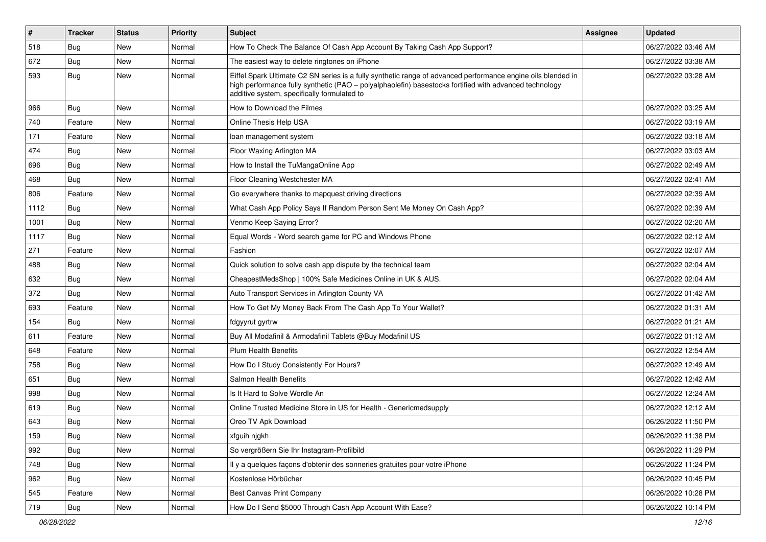| $\vert$ # | <b>Tracker</b> | <b>Status</b> | <b>Priority</b> | Subject                                                                                                                                                                                                                                                               | <b>Assignee</b> | <b>Updated</b>      |
|-----------|----------------|---------------|-----------------|-----------------------------------------------------------------------------------------------------------------------------------------------------------------------------------------------------------------------------------------------------------------------|-----------------|---------------------|
| 518       | <b>Bug</b>     | New           | Normal          | How To Check The Balance Of Cash App Account By Taking Cash App Support?                                                                                                                                                                                              |                 | 06/27/2022 03:46 AM |
| 672       | Bug            | <b>New</b>    | Normal          | The easiest way to delete ringtones on iPhone                                                                                                                                                                                                                         |                 | 06/27/2022 03:38 AM |
| 593       | Bug            | New           | Normal          | Eiffel Spark Ultimate C2 SN series is a fully synthetic range of advanced performance engine oils blended in<br>high performance fully synthetic (PAO - polyalphaolefin) basestocks fortified with advanced technology<br>additive system, specifically formulated to |                 | 06/27/2022 03:28 AM |
| 966       | Bug            | <b>New</b>    | Normal          | How to Download the Filmes                                                                                                                                                                                                                                            |                 | 06/27/2022 03:25 AM |
| 740       | Feature        | New           | Normal          | Online Thesis Help USA                                                                                                                                                                                                                                                |                 | 06/27/2022 03:19 AM |
| 171       | Feature        | <b>New</b>    | Normal          | loan management system                                                                                                                                                                                                                                                |                 | 06/27/2022 03:18 AM |
| 474       | <b>Bug</b>     | New           | Normal          | Floor Waxing Arlington MA                                                                                                                                                                                                                                             |                 | 06/27/2022 03:03 AM |
| 696       | Bug            | <b>New</b>    | Normal          | How to Install the TuMangaOnline App                                                                                                                                                                                                                                  |                 | 06/27/2022 02:49 AM |
| 468       | <b>Bug</b>     | New           | Normal          | Floor Cleaning Westchester MA                                                                                                                                                                                                                                         |                 | 06/27/2022 02:41 AM |
| 806       | Feature        | <b>New</b>    | Normal          | Go everywhere thanks to mapquest driving directions                                                                                                                                                                                                                   |                 | 06/27/2022 02:39 AM |
| 1112      | Bug            | <b>New</b>    | Normal          | What Cash App Policy Says If Random Person Sent Me Money On Cash App?                                                                                                                                                                                                 |                 | 06/27/2022 02:39 AM |
| 1001      | Bug            | New           | Normal          | Venmo Keep Saying Error?                                                                                                                                                                                                                                              |                 | 06/27/2022 02:20 AM |
| 1117      | Bug            | New           | Normal          | Equal Words - Word search game for PC and Windows Phone                                                                                                                                                                                                               |                 | 06/27/2022 02:12 AM |
| 271       | Feature        | <b>New</b>    | Normal          | Fashion                                                                                                                                                                                                                                                               |                 | 06/27/2022 02:07 AM |
| 488       | Bug            | New           | Normal          | Quick solution to solve cash app dispute by the technical team                                                                                                                                                                                                        |                 | 06/27/2022 02:04 AM |
| 632       | Bug            | <b>New</b>    | Normal          | CheapestMedsShop   100% Safe Medicines Online in UK & AUS.                                                                                                                                                                                                            |                 | 06/27/2022 02:04 AM |
| 372       | <b>Bug</b>     | New           | Normal          | Auto Transport Services in Arlington County VA                                                                                                                                                                                                                        |                 | 06/27/2022 01:42 AM |
| 693       | Feature        | New           | Normal          | How To Get My Money Back From The Cash App To Your Wallet?                                                                                                                                                                                                            |                 | 06/27/2022 01:31 AM |
| 154       | <b>Bug</b>     | <b>New</b>    | Normal          | fdgyyrut gyrtrw                                                                                                                                                                                                                                                       |                 | 06/27/2022 01:21 AM |
| 611       | Feature        | New           | Normal          | Buy All Modafinil & Armodafinil Tablets @Buy Modafinil US                                                                                                                                                                                                             |                 | 06/27/2022 01:12 AM |
| 648       | Feature        | New           | Normal          | <b>Plum Health Benefits</b>                                                                                                                                                                                                                                           |                 | 06/27/2022 12:54 AM |
| 758       | <b>Bug</b>     | New           | Normal          | How Do I Study Consistently For Hours?                                                                                                                                                                                                                                |                 | 06/27/2022 12:49 AM |
| 651       | <b>Bug</b>     | New           | Normal          | Salmon Health Benefits                                                                                                                                                                                                                                                |                 | 06/27/2022 12:42 AM |
| 998       | Bug            | <b>New</b>    | Normal          | Is It Hard to Solve Wordle An                                                                                                                                                                                                                                         |                 | 06/27/2022 12:24 AM |
| 619       | <b>Bug</b>     | New           | Normal          | Online Trusted Medicine Store in US for Health - Genericmedsupply                                                                                                                                                                                                     |                 | 06/27/2022 12:12 AM |
| 643       | <b>Bug</b>     | New           | Normal          | Oreo TV Apk Download                                                                                                                                                                                                                                                  |                 | 06/26/2022 11:50 PM |
| 159       | <b>Bug</b>     | New           | Normal          | xfguih njgkh                                                                                                                                                                                                                                                          |                 | 06/26/2022 11:38 PM |
| 992       | Bug            | New           | Normal          | So vergrößern Sie Ihr Instagram-Profilbild                                                                                                                                                                                                                            |                 | 06/26/2022 11:29 PM |
| 748       | Bug            | <b>New</b>    | Normal          | Il y a quelques façons d'obtenir des sonneries gratuites pour votre iPhone                                                                                                                                                                                            |                 | 06/26/2022 11:24 PM |
| 962       | <b>Bug</b>     | New           | Normal          | Kostenlose Hörbücher                                                                                                                                                                                                                                                  |                 | 06/26/2022 10:45 PM |
| 545       | Feature        | New           | Normal          | Best Canvas Print Company                                                                                                                                                                                                                                             |                 | 06/26/2022 10:28 PM |
| 719       | <b>Bug</b>     | New           | Normal          | How Do I Send \$5000 Through Cash App Account With Ease?                                                                                                                                                                                                              |                 | 06/26/2022 10:14 PM |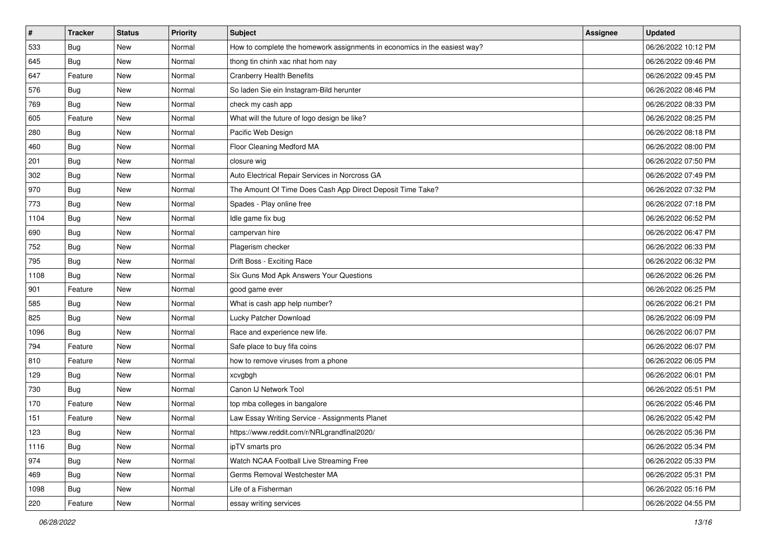| $\pmb{\#}$ | <b>Tracker</b> | <b>Status</b> | <b>Priority</b> | <b>Subject</b>                                                            | <b>Assignee</b> | <b>Updated</b>      |
|------------|----------------|---------------|-----------------|---------------------------------------------------------------------------|-----------------|---------------------|
| 533        | Bug            | New           | Normal          | How to complete the homework assignments in economics in the easiest way? |                 | 06/26/2022 10:12 PM |
| 645        | <b>Bug</b>     | <b>New</b>    | Normal          | thong tin chinh xac nhat hom nay                                          |                 | 06/26/2022 09:46 PM |
| 647        | Feature        | New           | Normal          | <b>Cranberry Health Benefits</b>                                          |                 | 06/26/2022 09:45 PM |
| 576        | Bug            | New           | Normal          | So laden Sie ein Instagram-Bild herunter                                  |                 | 06/26/2022 08:46 PM |
| 769        | Bug            | New           | Normal          | check my cash app                                                         |                 | 06/26/2022 08:33 PM |
| 605        | Feature        | New           | Normal          | What will the future of logo design be like?                              |                 | 06/26/2022 08:25 PM |
| 280        | Bug            | New           | Normal          | Pacific Web Design                                                        |                 | 06/26/2022 08:18 PM |
| 460        | <b>Bug</b>     | New           | Normal          | Floor Cleaning Medford MA                                                 |                 | 06/26/2022 08:00 PM |
| 201        | <b>Bug</b>     | New           | Normal          | closure wig                                                               |                 | 06/26/2022 07:50 PM |
| 302        | Bug            | New           | Normal          | Auto Electrical Repair Services in Norcross GA                            |                 | 06/26/2022 07:49 PM |
| 970        | Bug            | New           | Normal          | The Amount Of Time Does Cash App Direct Deposit Time Take?                |                 | 06/26/2022 07:32 PM |
| 773        | Bug            | New           | Normal          | Spades - Play online free                                                 |                 | 06/26/2022 07:18 PM |
| 1104       | <b>Bug</b>     | New           | Normal          | Idle game fix bug                                                         |                 | 06/26/2022 06:52 PM |
| 690        | Bug            | New           | Normal          | campervan hire                                                            |                 | 06/26/2022 06:47 PM |
| 752        | Bug            | New           | Normal          | Plagerism checker                                                         |                 | 06/26/2022 06:33 PM |
| 795        | Bug            | New           | Normal          | Drift Boss - Exciting Race                                                |                 | 06/26/2022 06:32 PM |
| 1108       | Bug            | New           | Normal          | Six Guns Mod Apk Answers Your Questions                                   |                 | 06/26/2022 06:26 PM |
| 901        | Feature        | <b>New</b>    | Normal          | good game ever                                                            |                 | 06/26/2022 06:25 PM |
| 585        | Bug            | New           | Normal          | What is cash app help number?                                             |                 | 06/26/2022 06:21 PM |
| 825        | Bug            | New           | Normal          | Lucky Patcher Download                                                    |                 | 06/26/2022 06:09 PM |
| 1096       | Bug            | New           | Normal          | Race and experience new life.                                             |                 | 06/26/2022 06:07 PM |
| 794        | Feature        | New           | Normal          | Safe place to buy fifa coins                                              |                 | 06/26/2022 06:07 PM |
| 810        | Feature        | New           | Normal          | how to remove viruses from a phone                                        |                 | 06/26/2022 06:05 PM |
| 129        | Bug            | New           | Normal          | xcvgbgh                                                                   |                 | 06/26/2022 06:01 PM |
| 730        | Bug            | New           | Normal          | Canon IJ Network Tool                                                     |                 | 06/26/2022 05:51 PM |
| 170        | Feature        | <b>New</b>    | Normal          | top mba colleges in bangalore                                             |                 | 06/26/2022 05:46 PM |
| 151        | Feature        | New           | Normal          | Law Essay Writing Service - Assignments Planet                            |                 | 06/26/2022 05:42 PM |
| 123        | Bug            | New           | Normal          | https://www.reddit.com/r/NRLgrandfinal2020/                               |                 | 06/26/2022 05:36 PM |
| 1116       | Bug            | New           | Normal          | ipTV smarts pro                                                           |                 | 06/26/2022 05:34 PM |
| 974        | Bug            | New           | Normal          | Watch NCAA Football Live Streaming Free                                   |                 | 06/26/2022 05:33 PM |
| 469        | <b>Bug</b>     | New           | Normal          | Germs Removal Westchester MA                                              |                 | 06/26/2022 05:31 PM |
| 1098       | Bug            | New           | Normal          | Life of a Fisherman                                                       |                 | 06/26/2022 05:16 PM |
| 220        | Feature        | New           | Normal          | essay writing services                                                    |                 | 06/26/2022 04:55 PM |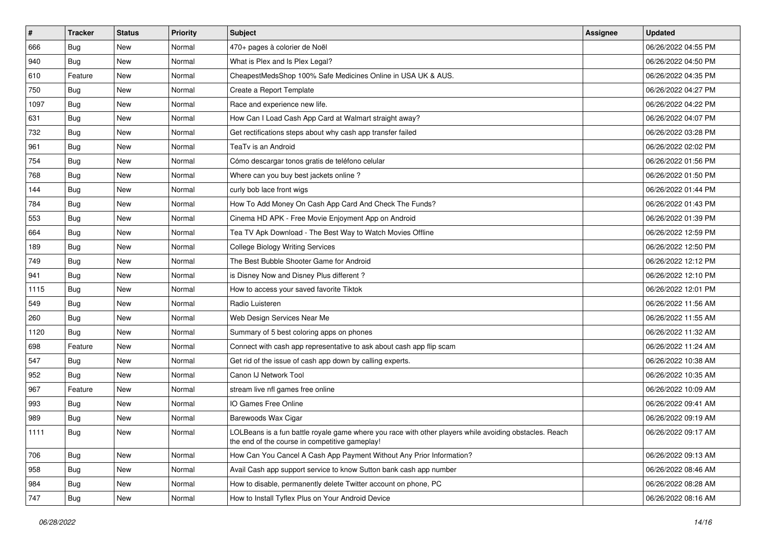| $\sharp$ | <b>Tracker</b> | <b>Status</b> | <b>Priority</b> | Subject                                                                                                                                                  | <b>Assignee</b> | <b>Updated</b>      |
|----------|----------------|---------------|-----------------|----------------------------------------------------------------------------------------------------------------------------------------------------------|-----------------|---------------------|
| 666      | <b>Bug</b>     | New           | Normal          | 470+ pages à colorier de Noël                                                                                                                            |                 | 06/26/2022 04:55 PM |
| 940      | Bug            | New           | Normal          | What is Plex and Is Plex Legal?                                                                                                                          |                 | 06/26/2022 04:50 PM |
| 610      | Feature        | New           | Normal          | CheapestMedsShop 100% Safe Medicines Online in USA UK & AUS.                                                                                             |                 | 06/26/2022 04:35 PM |
| 750      | <b>Bug</b>     | New           | Normal          | Create a Report Template                                                                                                                                 |                 | 06/26/2022 04:27 PM |
| 1097     | Bug            | New           | Normal          | Race and experience new life.                                                                                                                            |                 | 06/26/2022 04:22 PM |
| 631      | <b>Bug</b>     | New           | Normal          | How Can I Load Cash App Card at Walmart straight away?                                                                                                   |                 | 06/26/2022 04:07 PM |
| 732      | Bug            | New           | Normal          | Get rectifications steps about why cash app transfer failed                                                                                              |                 | 06/26/2022 03:28 PM |
| 961      | <b>Bug</b>     | New           | Normal          | TeaTv is an Android                                                                                                                                      |                 | 06/26/2022 02:02 PM |
| 754      | <b>Bug</b>     | New           | Normal          | Cómo descargar tonos gratis de teléfono celular                                                                                                          |                 | 06/26/2022 01:56 PM |
| 768      | <b>Bug</b>     | <b>New</b>    | Normal          | Where can you buy best jackets online?                                                                                                                   |                 | 06/26/2022 01:50 PM |
| 144      | <b>Bug</b>     | New           | Normal          | curly bob lace front wigs                                                                                                                                |                 | 06/26/2022 01:44 PM |
| 784      | <b>Bug</b>     | New           | Normal          | How To Add Money On Cash App Card And Check The Funds?                                                                                                   |                 | 06/26/2022 01:43 PM |
| 553      | <b>Bug</b>     | New           | Normal          | Cinema HD APK - Free Movie Enjoyment App on Android                                                                                                      |                 | 06/26/2022 01:39 PM |
| 664      | <b>Bug</b>     | New           | Normal          | Tea TV Apk Download - The Best Way to Watch Movies Offline                                                                                               |                 | 06/26/2022 12:59 PM |
| 189      | Bug            | New           | Normal          | <b>College Biology Writing Services</b>                                                                                                                  |                 | 06/26/2022 12:50 PM |
| 749      | <b>Bug</b>     | New           | Normal          | The Best Bubble Shooter Game for Android                                                                                                                 |                 | 06/26/2022 12:12 PM |
| 941      | Bug            | New           | Normal          | is Disney Now and Disney Plus different?                                                                                                                 |                 | 06/26/2022 12:10 PM |
| 1115     | Bug            | New           | Normal          | How to access your saved favorite Tiktok                                                                                                                 |                 | 06/26/2022 12:01 PM |
| 549      | <b>Bug</b>     | New           | Normal          | Radio Luisteren                                                                                                                                          |                 | 06/26/2022 11:56 AM |
| 260      | Bug            | New           | Normal          | Web Design Services Near Me                                                                                                                              |                 | 06/26/2022 11:55 AM |
| 1120     | <b>Bug</b>     | New           | Normal          | Summary of 5 best coloring apps on phones                                                                                                                |                 | 06/26/2022 11:32 AM |
| 698      | Feature        | New           | Normal          | Connect with cash app representative to ask about cash app flip scam                                                                                     |                 | 06/26/2022 11:24 AM |
| 547      | <b>Bug</b>     | New           | Normal          | Get rid of the issue of cash app down by calling experts.                                                                                                |                 | 06/26/2022 10:38 AM |
| 952      | <b>Bug</b>     | New           | Normal          | Canon IJ Network Tool                                                                                                                                    |                 | 06/26/2022 10:35 AM |
| 967      | Feature        | New           | Normal          | stream live nfl games free online                                                                                                                        |                 | 06/26/2022 10:09 AM |
| 993      | <b>Bug</b>     | New           | Normal          | IO Games Free Online                                                                                                                                     |                 | 06/26/2022 09:41 AM |
| 989      | <b>Bug</b>     | New           | Normal          | Barewoods Wax Cigar                                                                                                                                      |                 | 06/26/2022 09:19 AM |
| 1111     | <b>Bug</b>     | New           | Normal          | LOLBeans is a fun battle royale game where you race with other players while avoiding obstacles. Reach<br>the end of the course in competitive gameplay! |                 | 06/26/2022 09:17 AM |
| 706      | Bug            | New           | Normal          | How Can You Cancel A Cash App Payment Without Any Prior Information?                                                                                     |                 | 06/26/2022 09:13 AM |
| 958      | Bug            | New           | Normal          | Avail Cash app support service to know Sutton bank cash app number                                                                                       |                 | 06/26/2022 08:46 AM |
| 984      | Bug            | New           | Normal          | How to disable, permanently delete Twitter account on phone, PC                                                                                          |                 | 06/26/2022 08:28 AM |
| 747      | <b>Bug</b>     | New           | Normal          | How to Install Tyflex Plus on Your Android Device                                                                                                        |                 | 06/26/2022 08:16 AM |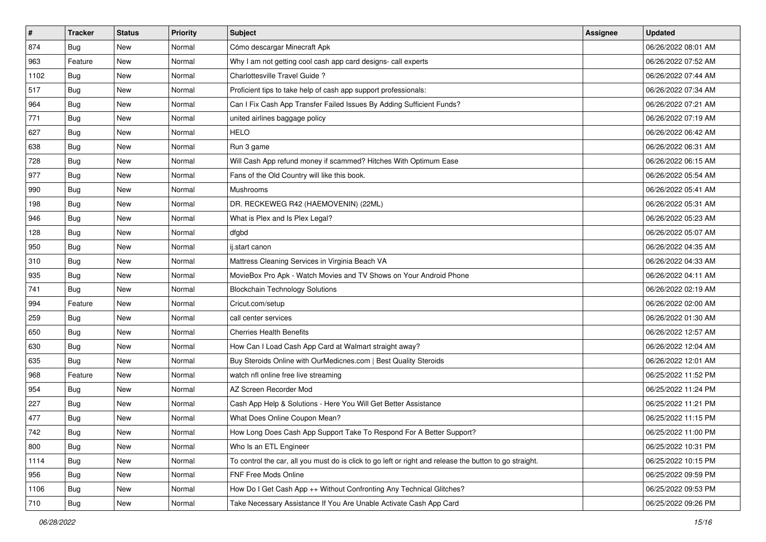| $\sharp$ | <b>Tracker</b> | <b>Status</b> | <b>Priority</b> | Subject                                                                                                 | <b>Assignee</b> | <b>Updated</b>      |
|----------|----------------|---------------|-----------------|---------------------------------------------------------------------------------------------------------|-----------------|---------------------|
| 874      | <b>Bug</b>     | New           | Normal          | Cómo descargar Minecraft Apk                                                                            |                 | 06/26/2022 08:01 AM |
| 963      | Feature        | New           | Normal          | Why I am not getting cool cash app card designs- call experts                                           |                 | 06/26/2022 07:52 AM |
| 1102     | <b>Bug</b>     | New           | Normal          | Charlottesville Travel Guide?                                                                           |                 | 06/26/2022 07:44 AM |
| 517      | <b>Bug</b>     | New           | Normal          | Proficient tips to take help of cash app support professionals:                                         |                 | 06/26/2022 07:34 AM |
| 964      | Bug            | New           | Normal          | Can I Fix Cash App Transfer Failed Issues By Adding Sufficient Funds?                                   |                 | 06/26/2022 07:21 AM |
| 771      | <b>Bug</b>     | New           | Normal          | united airlines baggage policy                                                                          |                 | 06/26/2022 07:19 AM |
| 627      | <b>Bug</b>     | New           | Normal          | <b>HELO</b>                                                                                             |                 | 06/26/2022 06:42 AM |
| 638      | Bug            | New           | Normal          | Run 3 game                                                                                              |                 | 06/26/2022 06:31 AM |
| 728      | Bug            | New           | Normal          | Will Cash App refund money if scammed? Hitches With Optimum Ease                                        |                 | 06/26/2022 06:15 AM |
| 977      | <b>Bug</b>     | New           | Normal          | Fans of the Old Country will like this book.                                                            |                 | 06/26/2022 05:54 AM |
| 990      | <b>Bug</b>     | New           | Normal          | Mushrooms                                                                                               |                 | 06/26/2022 05:41 AM |
| 198      | <b>Bug</b>     | New           | Normal          | DR. RECKEWEG R42 (HAEMOVENIN) (22ML)                                                                    |                 | 06/26/2022 05:31 AM |
| 946      | <b>Bug</b>     | New           | Normal          | What is Plex and Is Plex Legal?                                                                         |                 | 06/26/2022 05:23 AM |
| 128      | <b>Bug</b>     | New           | Normal          | dfgbd                                                                                                   |                 | 06/26/2022 05:07 AM |
| 950      | Bug            | New           | Normal          | ij.start canon                                                                                          |                 | 06/26/2022 04:35 AM |
| 310      | <b>Bug</b>     | New           | Normal          | Mattress Cleaning Services in Virginia Beach VA                                                         |                 | 06/26/2022 04:33 AM |
| 935      | <b>Bug</b>     | New           | Normal          | MovieBox Pro Apk - Watch Movies and TV Shows on Your Android Phone                                      |                 | 06/26/2022 04:11 AM |
| 741      | <b>Bug</b>     | New           | Normal          | <b>Blockchain Technology Solutions</b>                                                                  |                 | 06/26/2022 02:19 AM |
| 994      | Feature        | New           | Normal          | Cricut.com/setup                                                                                        |                 | 06/26/2022 02:00 AM |
| 259      | Bug            | New           | Normal          | call center services                                                                                    |                 | 06/26/2022 01:30 AM |
| 650      | <b>Bug</b>     | New           | Normal          | <b>Cherries Health Benefits</b>                                                                         |                 | 06/26/2022 12:57 AM |
| 630      | <b>Bug</b>     | New           | Normal          | How Can I Load Cash App Card at Walmart straight away?                                                  |                 | 06/26/2022 12:04 AM |
| 635      | Bug            | New           | Normal          | Buy Steroids Online with OurMedicnes.com   Best Quality Steroids                                        |                 | 06/26/2022 12:01 AM |
| 968      | Feature        | New           | Normal          | watch nfl online free live streaming                                                                    |                 | 06/25/2022 11:52 PM |
| 954      | <b>Bug</b>     | New           | Normal          | AZ Screen Recorder Mod                                                                                  |                 | 06/25/2022 11:24 PM |
| 227      | <b>Bug</b>     | New           | Normal          | Cash App Help & Solutions - Here You Will Get Better Assistance                                         |                 | 06/25/2022 11:21 PM |
| 477      | <b>Bug</b>     | New           | Normal          | What Does Online Coupon Mean?                                                                           |                 | 06/25/2022 11:15 PM |
| 742      | <b>Bug</b>     | New           | Normal          | How Long Does Cash App Support Take To Respond For A Better Support?                                    |                 | 06/25/2022 11:00 PM |
| 800      | <b>Bug</b>     | New           | Normal          | Who Is an ETL Engineer                                                                                  |                 | 06/25/2022 10:31 PM |
| 1114     | Bug            | New           | Normal          | To control the car, all you must do is click to go left or right and release the button to go straight. |                 | 06/25/2022 10:15 PM |
| 956      | Bug            | New           | Normal          | FNF Free Mods Online                                                                                    |                 | 06/25/2022 09:59 PM |
| 1106     | <b>Bug</b>     | New           | Normal          | How Do I Get Cash App ++ Without Confronting Any Technical Glitches?                                    |                 | 06/25/2022 09:53 PM |
| 710      | Bug            | New           | Normal          | Take Necessary Assistance If You Are Unable Activate Cash App Card                                      |                 | 06/25/2022 09:26 PM |